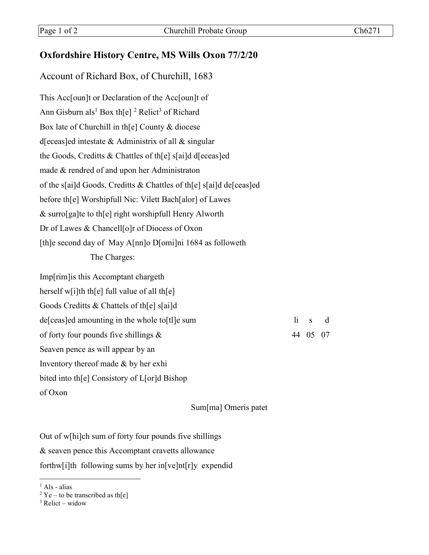## **Oxfordshire History Centre, MS Wills Oxon 77/2/20**

## Account of Richard Box, of Churchill, 1683

This Acc[oun]t or Declaration of the Acc[oun]t of Ann Gisburn als<sup>1</sup> Box th[e] <sup>2</sup> Relict<sup>3</sup> of Richard Box late of Churchill in th[e] County & diocese d[eceas]ed intestate & Administrix of all & singular the Goods, Creditts & Chattles of th[e] s[ai]d d[eceas]ed made & rendred of and upon her Administraton of the s[ai]d Goods, Creditts & Chattles of th[e] s[ai]d de[ceas]ed before th[e] Worshipfull Nic: Vilett Bach[alor] of Lawes & surro[ga]te to th[e] right worshipfull Henry Alworth Dr of Lawes & Chancell[o]r of Diocess of Oxon [th]e second day of May A[nn]o D[omi]ni 1684 as followeth The Charges:

| 1i | d                                   |
|----|-------------------------------------|
|    |                                     |
|    |                                     |
|    |                                     |
|    |                                     |
|    |                                     |
|    | $\overline{\mathbf{s}}$<br>44 05 07 |

Sum[ma] Omeris patet

Out of w[hi]ch sum of forty four pounds five shillings & seaven pence this Accomptant cravetts allowance forthw[i]th following sums by her in[ve]nt[r]y expendid

 $<sup>1</sup>$  Als - alias</sup>

<sup>&</sup>lt;sup>2</sup> Ye – to be transcribed as th[e]

 $3$  Relict – widow